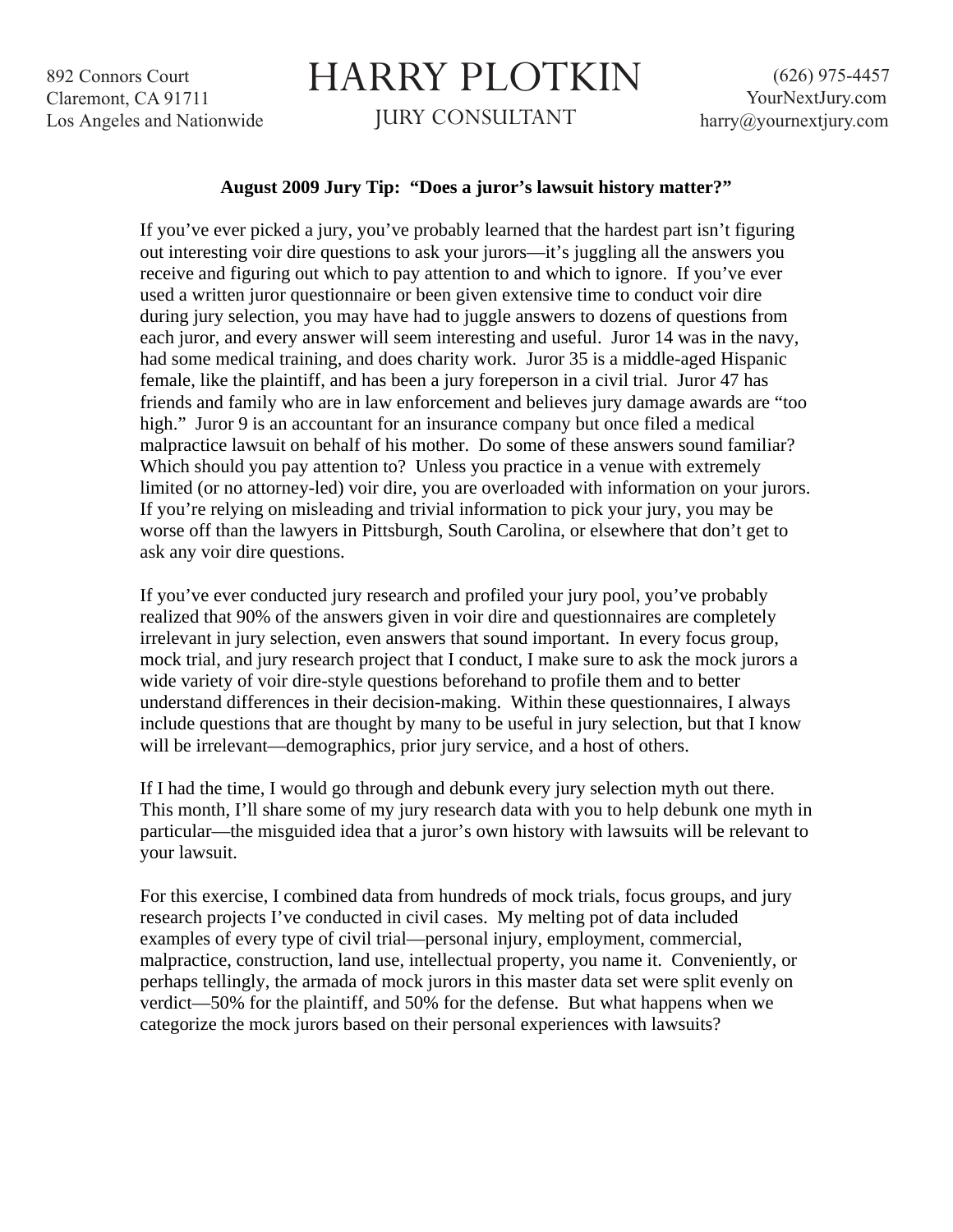892 Connors Court Claremont, CA 91711 Los Angeles and Nationwide

## HARRY PLOTKIN

JURY CONSULTANT

(626) 975-4457 YourNextJury.com harry@yournextjury.com

## **August 2009 Jury Tip: "Does a juror's lawsuit history matter?"**

If you've ever picked a jury, you've probably learned that the hardest part isn't figuring out interesting voir dire questions to ask your jurors—it's juggling all the answers you receive and figuring out which to pay attention to and which to ignore. If you've ever used a written juror questionnaire or been given extensive time to conduct voir dire during jury selection, you may have had to juggle answers to dozens of questions from each juror, and every answer will seem interesting and useful. Juror 14 was in the navy, had some medical training, and does charity work. Juror 35 is a middle-aged Hispanic female, like the plaintiff, and has been a jury foreperson in a civil trial. Juror 47 has friends and family who are in law enforcement and believes jury damage awards are "too high." Juror 9 is an accountant for an insurance company but once filed a medical malpractice lawsuit on behalf of his mother. Do some of these answers sound familiar? Which should you pay attention to? Unless you practice in a venue with extremely limited (or no attorney-led) voir dire, you are overloaded with information on your jurors. If you're relying on misleading and trivial information to pick your jury, you may be worse off than the lawyers in Pittsburgh, South Carolina, or elsewhere that don't get to ask any voir dire questions.

If you've ever conducted jury research and profiled your jury pool, you've probably realized that 90% of the answers given in voir dire and questionnaires are completely irrelevant in jury selection, even answers that sound important. In every focus group, mock trial, and jury research project that I conduct, I make sure to ask the mock jurors a wide variety of voir dire-style questions beforehand to profile them and to better understand differences in their decision-making. Within these questionnaires, I always include questions that are thought by many to be useful in jury selection, but that I know will be irrelevant—demographics, prior jury service, and a host of others.

If I had the time, I would go through and debunk every jury selection myth out there. This month, I'll share some of my jury research data with you to help debunk one myth in particular—the misguided idea that a juror's own history with lawsuits will be relevant to your lawsuit.

For this exercise, I combined data from hundreds of mock trials, focus groups, and jury research projects I've conducted in civil cases. My melting pot of data included examples of every type of civil trial—personal injury, employment, commercial, malpractice, construction, land use, intellectual property, you name it. Conveniently, or perhaps tellingly, the armada of mock jurors in this master data set were split evenly on verdict—50% for the plaintiff, and 50% for the defense. But what happens when we categorize the mock jurors based on their personal experiences with lawsuits?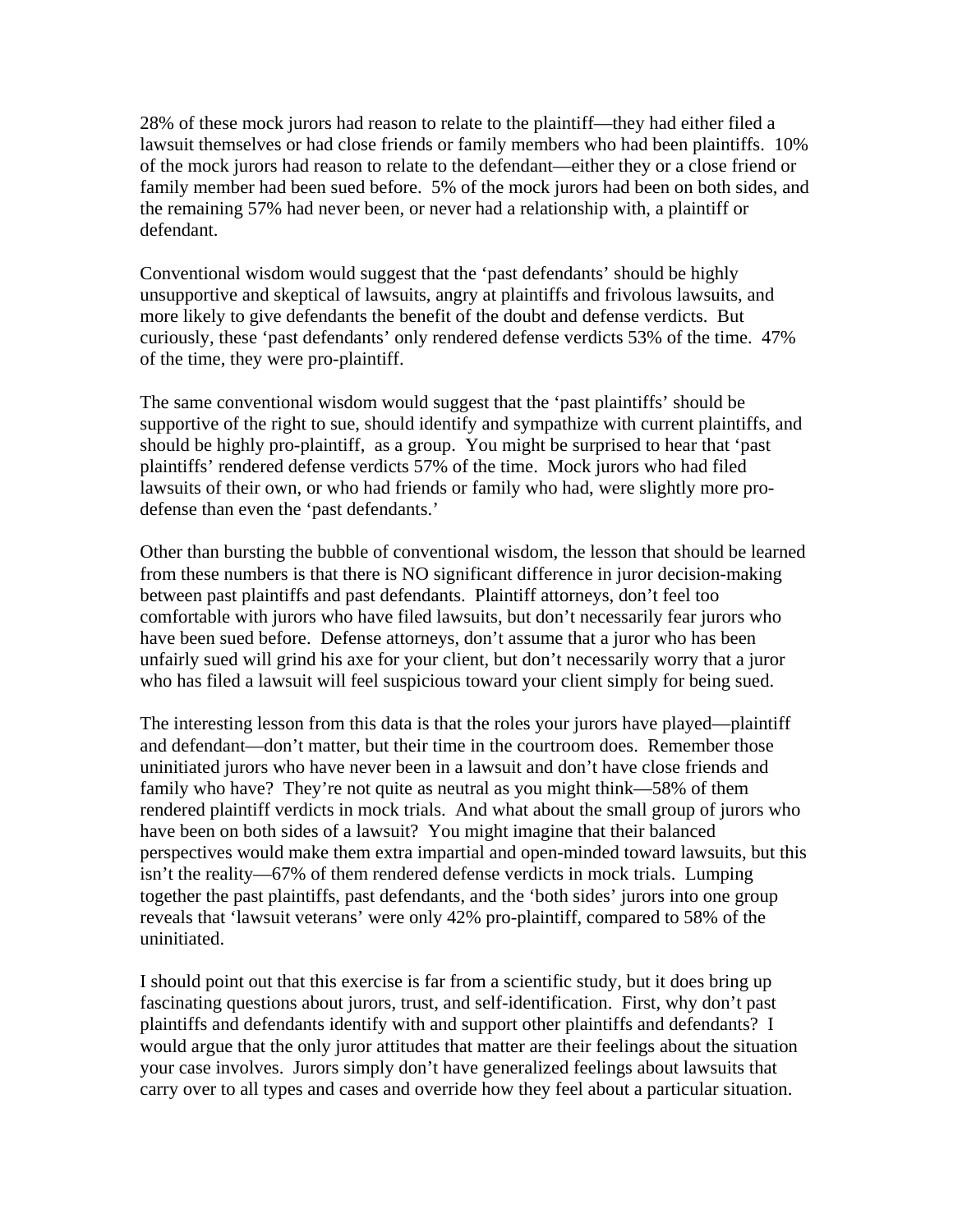28% of these mock jurors had reason to relate to the plaintiff—they had either filed a lawsuit themselves or had close friends or family members who had been plaintiffs. 10% of the mock jurors had reason to relate to the defendant—either they or a close friend or family member had been sued before. 5% of the mock jurors had been on both sides, and the remaining 57% had never been, or never had a relationship with, a plaintiff or defendant.

Conventional wisdom would suggest that the 'past defendants' should be highly unsupportive and skeptical of lawsuits, angry at plaintiffs and frivolous lawsuits, and more likely to give defendants the benefit of the doubt and defense verdicts. But curiously, these 'past defendants' only rendered defense verdicts 53% of the time. 47% of the time, they were pro-plaintiff.

The same conventional wisdom would suggest that the 'past plaintiffs' should be supportive of the right to sue, should identify and sympathize with current plaintiffs, and should be highly pro-plaintiff, as a group. You might be surprised to hear that 'past plaintiffs' rendered defense verdicts 57% of the time. Mock jurors who had filed lawsuits of their own, or who had friends or family who had, were slightly more prodefense than even the 'past defendants.'

Other than bursting the bubble of conventional wisdom, the lesson that should be learned from these numbers is that there is NO significant difference in juror decision-making between past plaintiffs and past defendants. Plaintiff attorneys, don't feel too comfortable with jurors who have filed lawsuits, but don't necessarily fear jurors who have been sued before. Defense attorneys, don't assume that a juror who has been unfairly sued will grind his axe for your client, but don't necessarily worry that a juror who has filed a lawsuit will feel suspicious toward your client simply for being sued.

The interesting lesson from this data is that the roles your jurors have played—plaintiff and defendant—don't matter, but their time in the courtroom does. Remember those uninitiated jurors who have never been in a lawsuit and don't have close friends and family who have? They're not quite as neutral as you might think—58% of them rendered plaintiff verdicts in mock trials. And what about the small group of jurors who have been on both sides of a lawsuit? You might imagine that their balanced perspectives would make them extra impartial and open-minded toward lawsuits, but this isn't the reality—67% of them rendered defense verdicts in mock trials. Lumping together the past plaintiffs, past defendants, and the 'both sides' jurors into one group reveals that 'lawsuit veterans' were only 42% pro-plaintiff, compared to 58% of the uninitiated.

I should point out that this exercise is far from a scientific study, but it does bring up fascinating questions about jurors, trust, and self-identification. First, why don't past plaintiffs and defendants identify with and support other plaintiffs and defendants? I would argue that the only juror attitudes that matter are their feelings about the situation your case involves. Jurors simply don't have generalized feelings about lawsuits that carry over to all types and cases and override how they feel about a particular situation.